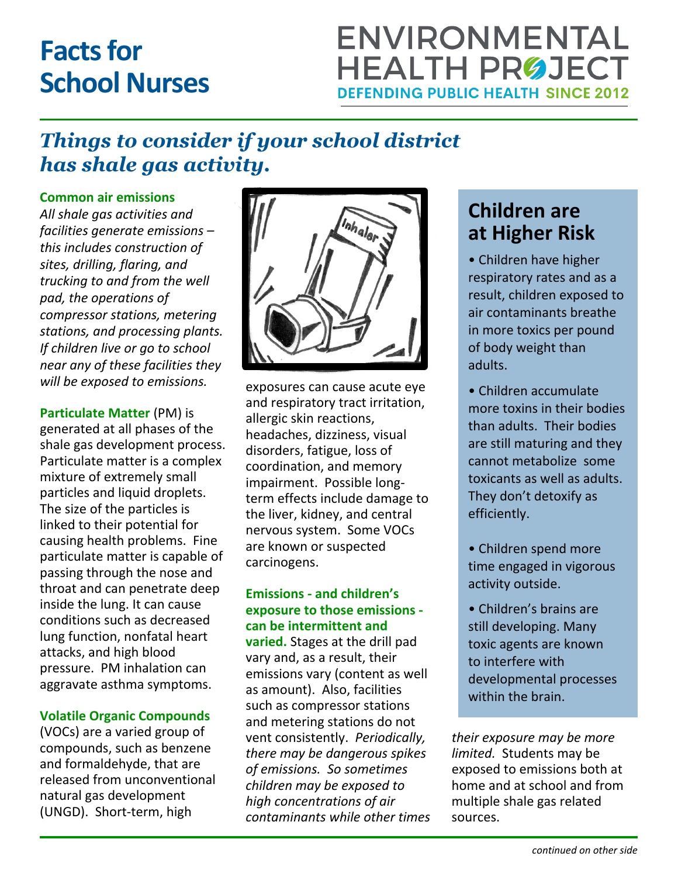# **Facts for School Nurses**

## **ENVIRONMENTAL HEALTH PRØJECT DEFENDING PUBLIC HEALTH SINCE 2012**

## *Things to consider if your school district has shale gas activity.*

#### **Common air emissions**

*All shale gas activities and facilities generate emissions – this includes construction of sites, drilling, flaring, and trucking to and from the well pad, the operations of compressor stations, metering stations, and processing plants. If children live or go to school near any of these facilities they will be exposed to emissions.*

**Particulate Matter** (PM) is generated at all phases of the shale gas development process. Particulate matter is a complex mixture of extremely small particles and liquid droplets. The size of the particles is linked to their potential for causing health problems. Fine particulate matter is capable of passing through the nose and throat and can penetrate deep inside the lung. It can cause conditions such as decreased lung function, nonfatal heart attacks, and high blood pressure. PM inhalation can aggravate asthma symptoms.

#### **Volatile Organic Compounds**

(VOCs) are a varied group of compounds, such as benzene and formaldehyde, that are released from unconventional natural gas development (UNGD). Short-term, high



exposures can cause acute eye and respiratory tract irritation, allergic skin reactions, headaches, dizziness, visual disorders, fatigue, loss of coordination, and memory impairment. Possible longterm effects include damage to the liver, kidney, and central nervous system. Some VOCs are known or suspected carcinogens.

#### **Emissions - and children's exposure to those emissions can be intermittent and**

**varied.** Stages at the drill pad vary and, as a result, their emissions vary (content as well as amount). Also, facilities such as compressor stations and metering stations do not vent consistently. *Periodically, there may be dangerous spikes of emissions. So sometimes children may be exposed to high concentrations of air contaminants while other times*

### **Children are at Higher Risk**

• Children have higher respiratory rates and as a result, children exposed to air contaminants breathe in more toxics per pound of body weight than adults.

- Children accumulate more toxins in their bodies than adults. Their bodies are still maturing and they cannot metabolize some toxicants as well as adults. They don't detoxify as efficiently.
- Children spend more time engaged in vigorous activity outside.
- Children's brains are still developing. Many toxic agents are known to interfere with developmental processes within the brain.

*their exposure may be more limited.* Students may be exposed to emissions both at home and at school and from multiple shale gas related sources.